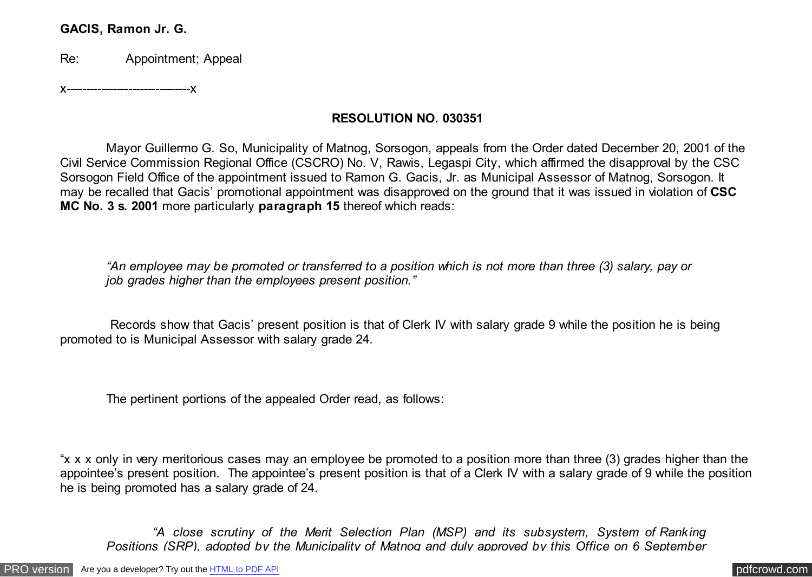### **GACIS, Ramon Jr. G.**

Re: Appointment; Appeal

x--------------------------------x

# **RESOLUTION NO. 030351**

 Mayor Guillermo G. So, Municipality of Matnog, Sorsogon, appeals from the Order dated December 20, 2001 of the Civil Service Commission Regional Office (CSCRO) No. V, Rawis, Legaspi City, which affirmed the disapproval by the CSC Sorsogon Field Office of the appointment issued to Ramon G. Gacis, Jr. as Municipal Assessor of Matnog, Sorsogon. It may be recalled that Gacis' promotional appointment was disapproved on the ground that it was issued in violation of **CSC MC No. 3 s. 2001** more particularly **paragraph 15** thereof which reads:

*"An employee may be promoted or transferred to a position which is not more than three (3) salary, pay or job grades higher than the employees present position."*

 Records show that Gacis' present position is that of Clerk IV with salary grade 9 while the position he is being promoted to is Municipal Assessor with salary grade 24.

The pertinent portions of the appealed Order read, as follows:

"x x x only in very meritorious cases may an employee be promoted to a position more than three (3) grades higher than the appointee's present position. The appointee's present position is that of a Clerk IV with a salary grade of 9 while the position he is being promoted has a salary grade of 24.

*"A close scrutiny of the Merit Selection Plan (MSP) and its subsystem, System of Ranking Positions (SRP), adopted by the Municipality of Matnog and duly approved by this Office on 6 September*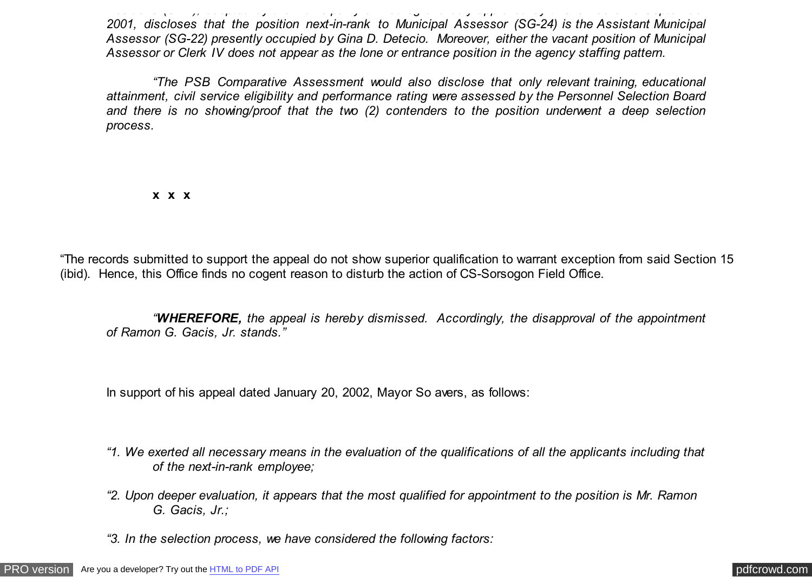*Positions (SRP), adopted by the Municipality of Matnog and duly approved by this Office on 6 September 2001, discloses that the position next-in-rank to Municipal Assessor (SG-24) is the Assistant Municipal Assessor (SG-22) presently occupied by Gina D. Detecio. Moreover, either the vacant position of Municipal Assessor or Clerk IV does not appear as the lone or entrance position in the agency staffing pattern.*

*"The PSB Comparative Assessment would also disclose that only relevant training, educational attainment, civil service eligibility and performance rating were assessed by the Personnel Selection Board and there is no showing/proof that the two (2) contenders to the position underwent a deep selection process.*

**x x x**

"The records submitted to support the appeal do not show superior qualification to warrant exception from said Section 15 (ibid). Hence, this Office finds no cogent reason to disturb the action of CS-Sorsogon Field Office.

*"WHEREFORE, the appeal is hereby dismissed. Accordingly, the disapproval of the appointment of Ramon G. Gacis, Jr. stands."*

In support of his appeal dated January 20, 2002, Mayor So avers, as follows:

- *"1. We exerted all necessary means in the evaluation of the qualifications of all the applicants including that of the next-in-rank employee;*
- *"2. Upon deeper evaluation, it appears that the most qualified for appointment to the position is Mr. Ramon G. Gacis, Jr.;*
- *"3. In the selection process, we have considered the following factors:*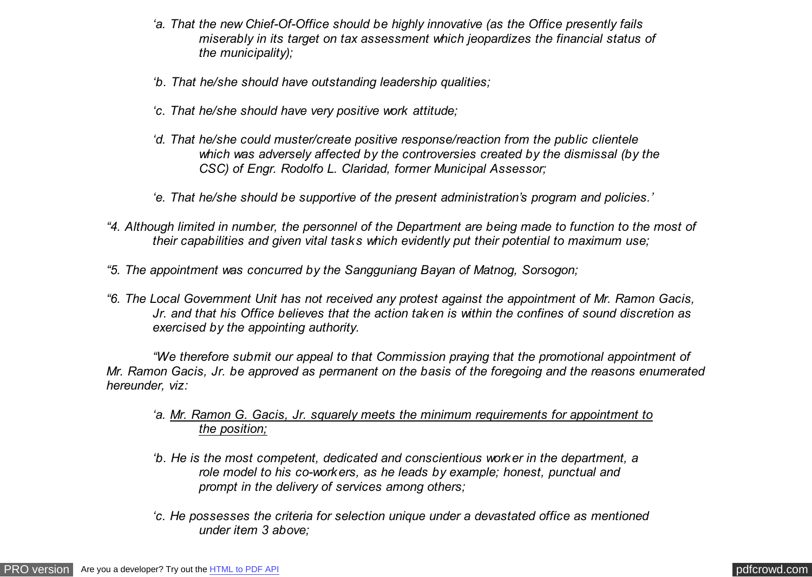- *'a. That the new Chief-Of-Office should be highly innovative (as the Office presently fails miserably in its target on tax assessment which jeopardizes the financial status of the municipality);*
- *'b. That he/she should have outstanding leadership qualities;*
- *'c. That he/she should have very positive work attitude;*
- *'d. That he/she could muster/create positive response/reaction from the public clientele which was adversely affected by the controversies created by the dismissal (by the CSC) of Engr. Rodolfo L. Claridad, former Municipal Assessor;*
- *'e. That he/she should be supportive of the present administration's program and policies.'*
- *"4. Although limited in number, the personnel of the Department are being made to function to the most of their capabilities and given vital tasks which evidently put their potential to maximum use;*
- *"5. The appointment was concurred by the Sangguniang Bayan of Matnog, Sorsogon;*
- *"6. The Local Government Unit has not received any protest against the appointment of Mr. Ramon Gacis, Jr. and that his Office believes that the action taken is within the confines of sound discretion as exercised by the appointing authority.*

*"We therefore submit our appeal to that Commission praying that the promotional appointment of Mr. Ramon Gacis, Jr. be approved as permanent on the basis of the foregoing and the reasons enumerated hereunder, viz:*

### *'a. Mr. Ramon G. Gacis, Jr. squarely meets the minimum requirements for appointment to the position;*

- *'b. He is the most competent, dedicated and conscientious worker in the department, a role model to his co-workers, as he leads by example; honest, punctual and prompt in the delivery of services among others;*
- *'c. He possesses the criteria for selection unique under a devastated office as mentioned under item 3 above;*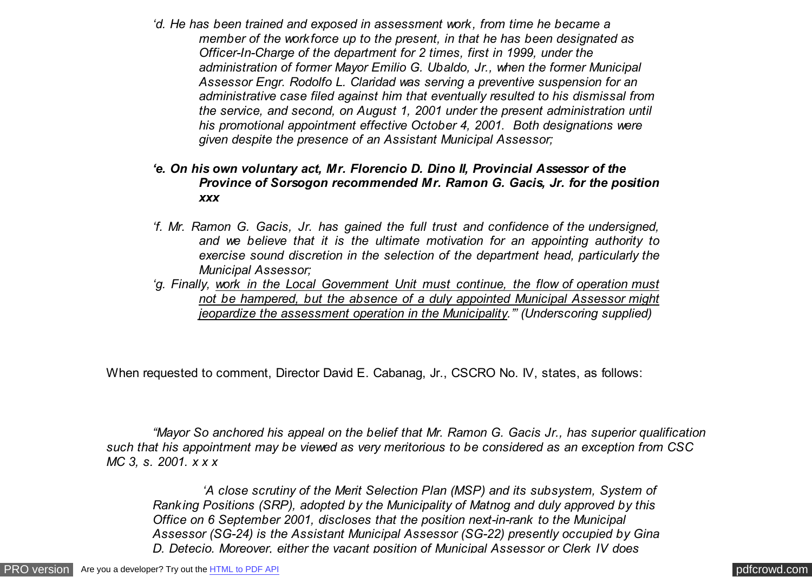<span id="page-3-0"></span>*'d. He has been trained and exposed in assessment work, from time he became a member of the workforce up to the present, in that he has been designated as Officer-In-Charge of the department for 2 times, first in 1999, under the administration of former Mayor Emilio G. Ubaldo, Jr., when the former Municipal Assessor Engr. Rodolfo L. Claridad was serving a preventive suspension for an administrative case filed against him that eventually resulted to his dismissal from the service, and second, on August 1, 2001 under the present administration until his promotional appointment effective October 4, 2001. Both designations were given despite the presence of an Assistant Municipal Assessor;*

#### *'e. On his own voluntary act, Mr. Florencio D. Dino II, Provincial Assessor of the Province of Sorsogon recommended Mr. Ramon G. Gacis, Jr. for the position xxx*

- *'f. Mr. Ramon G. Gacis, Jr. has gained the full trust and confidence of the undersigned, and we believe that it is the ultimate motivation for an appointing authority to exercise sound discretion in the selection of the department head, particularly the Municipal Assessor;*
- *'g. Finally, work in the Local Government Unit must continue, the flow of operation must not be hampered, but the absence of a duly appointed Municipal Assessor might jeopardize the assessment operation in the Municipality.'" (Underscoring supplied)*

When requested to comment, Director David E. Cabanag, Jr., CSCRO No. IV, states, as follows:

*"Mayor So anchored his appeal on the belief that Mr. Ramon G. Gacis Jr., has superior qualification such that his appointment may be viewed as very meritorious to be considered as an exception from CSC MC 3, s. 2001. x x x*

*'A close scrutiny of the Merit Selection Plan (MSP) and its subsystem, System of Ranking Positions (SRP), adopted by the Municipality of Matnog and duly approved by this Office on 6 September 2001, discloses that the position next-in-rank to the Municipal Assessor (SG-24) is the Assistant Municipal Assessor (SG-22) presently occupied by Gina D. Detecio. Moreover, either the vacant position of Municipal Assessor or Clerk IV does*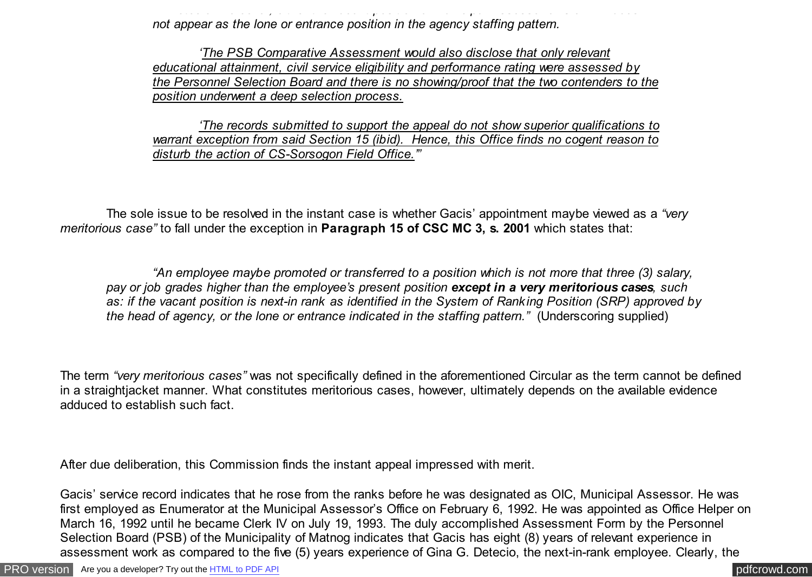*D. Detecio. Moreover, either the vacant position of Municipal Assessor or Clerk IV does not appear as the lone or entrance position in the agency staffing pattern.*

*'The PSB Comparative Assessment would also disclose that only relevant educational attainment, civil service eligibility and performance rating were assessed by the Personnel Selection Board and there is no showing/proof that the two contenders to the position underwent a deep selection process.*

*'The records submitted to support the appeal do not show superior qualifications to warrant exception from said Section 15 (ibid). Hence, this Office finds no cogent reason to disturb the action of CS-Sorsogon Field Office.'"*

The sole issue to be resolved in the instant case is whether Gacis' appointment maybe viewed as a *"very meritorious case"* to fall under the exception in **Paragraph 15 of CSC MC 3, s. 2001** which states that:

*"An employee maybe promoted or transferred to a position which is not more that three (3) salary, pay or job grades higher than the employee's present position except in a very meritorious cases, such as: if the vacant position is next-in rank as identified in the System of Ranking Position (SRP) approved by the head of agency, or the lone or entrance indicated in the staffing pattern.*" (Underscoring supplied)

The term *"very meritorious cases"* was not specifically defined in the aforementioned Circular as the term cannot be defined in a straightjacket manner. What constitutes meritorious cases, however, ultimately depends on the available evidence adduced to establish such fact.

After due deliberation, this Commission finds the instant appeal impressed with merit.

Gacis' service record indicates that he rose from the ranks before he was designated as OIC, Municipal Assessor. He was first employed as Enumerator at the Municipal Assessor's Office on February 6, 1992. He was appointed as Office Helper on March 16, 1992 until he became Clerk IV on July 19, 1993. The duly accomplished Assessment Form by the Personnel Selection Board (PSB) of the Municipality of Matnog indicates that Gacis has eight (8) years of relevant experience in assessment work as compared to the five (5) years experience of Gina G. Detecio, the next-in-rank employee. Clearly, the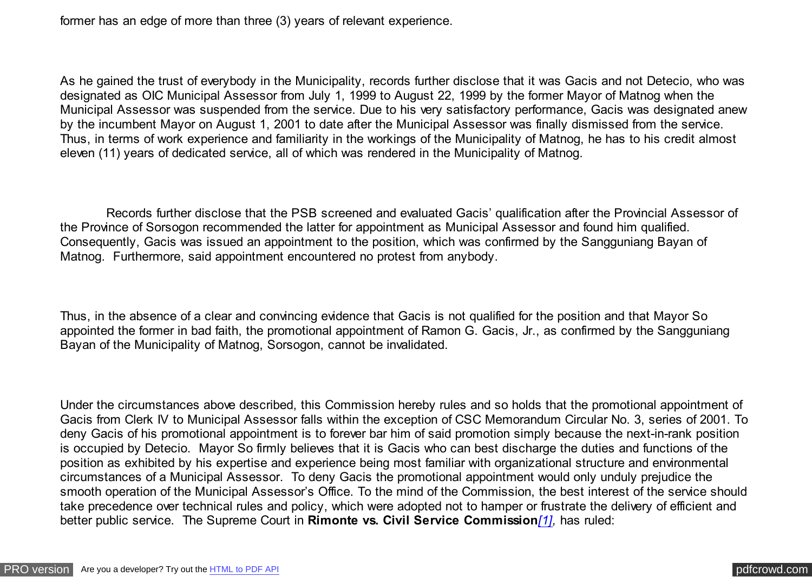former has an edge of more than three (3) years of relevant experience.

As he gained the trust of everybody in the Municipality, records further disclose that it was Gacis and not Detecio, who was designated as OIC Municipal Assessor from July 1, 1999 to August 22, 1999 by the former Mayor of Matnog when the Municipal Assessor was suspended from the service. Due to his very satisfactory performance, Gacis was designated anew by the incumbent Mayor on August 1, 2001 to date after the Municipal Assessor was finally dismissed from the service. Thus, in terms of work experience and familiarity in the workings of the Municipality of Matnog, he has to his credit almost eleven (11) years of dedicated service, all of which was rendered in the Municipality of Matnog.

 Records further disclose that the PSB screened and evaluated Gacis' qualification after the Provincial Assessor of the Province of Sorsogon recommended the latter for appointment as Municipal Assessor and found him qualified. Consequently, Gacis was issued an appointment to the position, which was confirmed by the Sangguniang Bayan of Matnog. Furthermore, said appointment encountered no protest from anybody.

Thus, in the absence of a clear and convincing evidence that Gacis is not qualified for the position and that Mayor So appointed the former in bad faith, the promotional appointment of Ramon G. Gacis, Jr., as confirmed by the Sangguniang Bayan of the Municipality of Matnog, Sorsogon, cannot be invalidated.

Under the circumstances above described, this Commission hereby rules and so holds that the promotional appointment of Gacis from Clerk IV to Municipal Assessor falls within the exception of CSC Memorandum Circular No. 3, series of 2001. To deny Gacis of his promotional appointment is to forever bar him of said promotion simply because the next-in-rank position is occupied by Detecio. Mayor So firmly believes that it is Gacis who can best discharge the duties and functions of the position as exhibited by his expertise and experience being most familiar with organizational structure and environmental circumstances of a Municipal Assessor. To deny Gacis the promotional appointment would only unduly prejudice the smooth operation of the Municipal Assessor's Office. To the mind of the Commission, the best interest of the service should take precedence over technical rules and policy, which were adopted not to hamper or frustrate the delivery of efficient and better public service. The Supreme Court in **Rimonte vs. Civil Service Commission***[\[1\],](#page-3-0)* has ruled: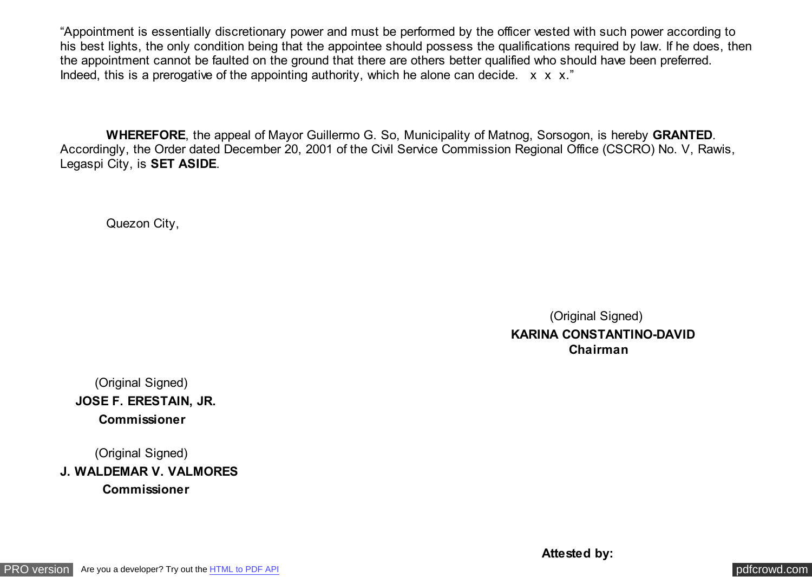"Appointment is essentially discretionary power and must be performed by the officer vested with such power according to his best lights, the only condition being that the appointee should possess the qualifications required by law. If he does, then the appointment cannot be faulted on the ground that there are others better qualified who should have been preferred. Indeed, this is a prerogative of the appointing authority, which he alone can decide.  $x \times x$ ."

 **WHEREFORE**, the appeal of Mayor Guillermo G. So, Municipality of Matnog, Sorsogon, is hereby **GRANTED**. Accordingly, the Order dated December 20, 2001 of the Civil Service Commission Regional Office (CSCRO) No. V, Rawis, Legaspi City, is **SET ASIDE**.

Quezon City,

 (Original Signed)  **KARINA CONSTANTINO-DAVID Chairman**

 (Original Signed) **JOSE F. ERESTAIN, JR. Commissioner**

 (Original Signed) **J. WALDEMAR V. VALMORES Commissioner**